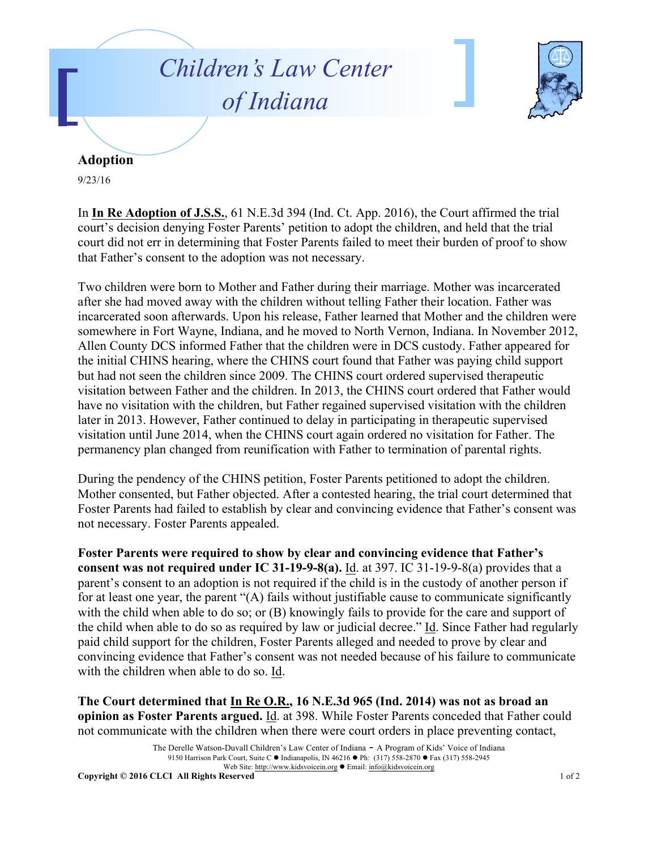## *Children's Law Center of Indiana*



## **Adoption**

9/23/16

In **In Re Adoption of J.S.S.**, 61 N.E.3d 394 (Ind. Ct. App. 2016), the Court affirmed the trial court's decision denying Foster Parents' petition to adopt the children, and held that the trial court did not err in determining that Foster Parents failed to meet their burden of proof to show that Father's consent to the adoption was not necessary.

Two children were born to Mother and Father during their marriage. Mother was incarcerated after she had moved away with the children without telling Father their location. Father was incarcerated soon afterwards. Upon his release, Father learned that Mother and the children were somewhere in Fort Wayne, Indiana, and he moved to North Vernon, Indiana. In November 2012, Allen County DCS informed Father that the children were in DCS custody. Father appeared for the initial CHINS hearing, where the CHINS court found that Father was paying child support but had not seen the children since 2009. The CHINS court ordered supervised therapeutic visitation between Father and the children. In 2013, the CHINS court ordered that Father would have no visitation with the children, but Father regained supervised visitation with the children later in 2013. However, Father continued to delay in participating in therapeutic supervised visitation until June 2014, when the CHINS court again ordered no visitation for Father. The permanency plan changed from reunification with Father to termination of parental rights.

During the pendency of the CHINS petition, Foster Parents petitioned to adopt the children. Mother consented, but Father objected. After a contested hearing, the trial court determined that Foster Parents had failed to establish by clear and convincing evidence that Father's consent was not necessary. Foster Parents appealed.

**Foster Parents were required to show by clear and convincing evidence that Father's consent was not required under IC 31-19-9-8(a).** Id. at 397. IC 31-19-9-8(a) provides that a parent's consent to an adoption is not required if the child is in the custody of another person if for at least one year, the parent "(A) fails without justifiable cause to communicate significantly with the child when able to do so; or (B) knowingly fails to provide for the care and support of the child when able to do so as required by law or judicial decree." Id. Since Father had regularly paid child support for the children, Foster Parents alleged and needed to prove by clear and convincing evidence that Father's consent was not needed because of his failure to communicate with the children when able to do so. Id.

**The Court determined that In Re O.R., 16 N.E.3d 965 (Ind. 2014) was not as broad an opinion as Foster Parents argued.** Id. at 398. While Foster Parents conceded that Father could not communicate with the children when there were court orders in place preventing contact,

The Derelle Watson-Duvall Children's Law Center of Indiana - A Program of Kids' Voice of Indiana 9150 Harrison Park Court, Suite C · Indianapolis, IN 46216 · Ph: (317) 558-2870 · Fax (317) 558-2945 Web Site: http://www.kidsvoicein.org <br>• Email: info@kidsvoicein.org